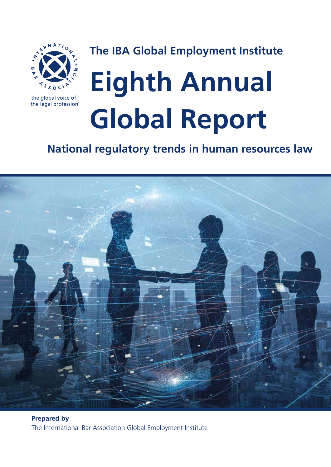

**The IBA Global Employment Institute**

# the global voice of the legal profession®

# **Eighth Annual Global Report**

**National regulatory trends in human resources law**



**Prepared by** The International Bar Association Global Employment Institute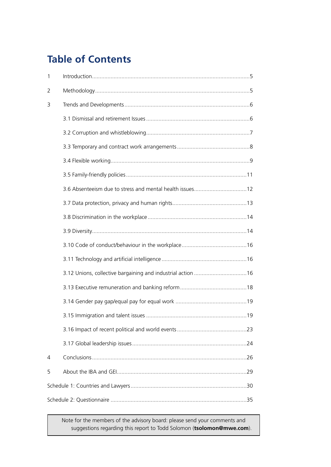# **Table of Contents**

| $\mathbf{1}$ |  |  |
|--------------|--|--|
| 2            |  |  |
| 3            |  |  |
|              |  |  |
|              |  |  |
|              |  |  |
|              |  |  |
|              |  |  |
|              |  |  |
|              |  |  |
|              |  |  |
|              |  |  |
|              |  |  |
|              |  |  |
|              |  |  |
|              |  |  |
|              |  |  |
|              |  |  |
|              |  |  |
|              |  |  |
| 4            |  |  |
| 5            |  |  |
|              |  |  |
|              |  |  |

Note for the members of the advisory board: please send your comments and suggestions regarding this report to Todd Solomon (**tsolomon@mwe.com**).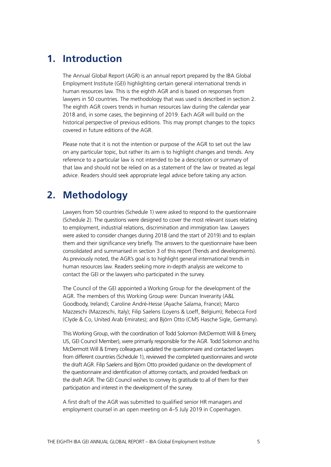# **1. Introduction**

The Annual Global Report (AGR) is an annual report prepared by the IBA Global Employment Institute (GEI) highlighting certain general international trends in human resources law. This is the eighth AGR and is based on responses from lawyers in 50 countries. The methodology that was used is described in section 2. The eighth AGR covers trends in human resources law during the calendar year 2018 and, in some cases, the beginning of 2019. Each AGR will build on the historical perspective of previous editions. This may prompt changes to the topics covered in future editions of the AGR.

Please note that it is not the intention or purpose of the AGR to set out the law on any particular topic, but rather its aim is to highlight changes and trends. Any reference to a particular law is not intended to be a description or summary of that law and should not be relied on as a statement of the law or treated as legal advice. Readers should seek appropriate legal advice before taking any action.

# **2. Methodology**

Lawyers from 50 countries (Schedule 1) were asked to respond to the questionnaire (Schedule 2). The questions were designed to cover the most relevant issues relating to employment, industrial relations, discrimination and immigration law. Lawyers were asked to consider changes during 2018 (and the start of 2019) and to explain them and their significance very briefly. The answers to the questionnaire have been consolidated and summarised in section 3 of this report (Trends and developments). As previously noted, the AGR's goal is to highlight general international trends in human resources law. Readers seeking more in-depth analysis are welcome to contact the GEI or the lawyers who participated in the survey.

The Council of the GEI appointed a Working Group for the development of the AGR. The members of this Working Group were: Duncan Inverarity (A&L Goodbody, Ireland); Caroline André-Hesse (Ayache Salama, France); Marco Mazzeschi (Mazzeschi, Italy); Filip Saelens (Loyens & Loeff, Belgium); Rebecca Ford (Clyde & Co, United Arab Emirates); and Björn Otto (CMS Hasche Sigle, Germany).

This Working Group, with the coordination of Todd Solomon (McDermott Will & Emery, US, GEI Council Member), were primarily responsible for the AGR. Todd Solomon and his McDermott Will & Emery colleagues updated the questionnaire and contacted lawyers from different countries (Schedule 1), reviewed the completed questionnaires and wrote the draft AGR. Filip Saelens and Björn Otto provided guidance on the development of the questionnaire and identification of attorney contacts, and provided feedback on the draft AGR. The GEI Council wishes to convey its gratitude to all of them for their participation and interest in the development of the survey.

A first draft of the AGR was submitted to qualified senior HR managers and employment counsel in an open meeting on 4–5 July 2019 in Copenhagen.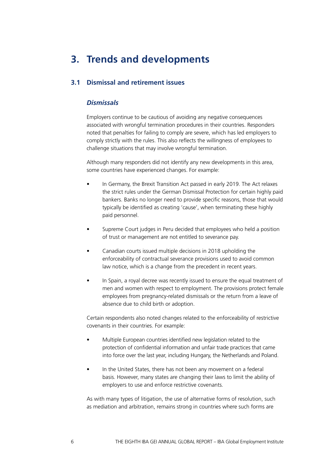# **3. Trends and developments**

# **3.1 Dismissal and retirement issues**

# *Dismissals*

Employers continue to be cautious of avoiding any negative consequences associated with wrongful termination procedures in their countries. Responders noted that penalties for failing to comply are severe, which has led employers to comply strictly with the rules. This also reflects the willingness of employees to challenge situations that may involve wrongful termination.

Although many responders did not identify any new developments in this area, some countries have experienced changes. For example:

- In Germany, the Brexit Transition Act passed in early 2019. The Act relaxes the strict rules under the German Dismissal Protection for certain highly paid bankers. Banks no longer need to provide specific reasons, those that would typically be identified as creating 'cause', when terminating these highly paid personnel.
- Supreme Court judges in Peru decided that employees who held a position of trust or management are not entitled to severance pay.
- Canadian courts issued multiple decisions in 2018 upholding the enforceability of contractual severance provisions used to avoid common law notice, which is a change from the precedent in recent years.
- In Spain, a royal decree was recently issued to ensure the equal treatment of men and women with respect to employment. The provisions protect female employees from pregnancy-related dismissals or the return from a leave of absence due to child birth or adoption.

Certain respondents also noted changes related to the enforceability of restrictive covenants in their countries. For example:

- Multiple European countries identified new legislation related to the protection of confidential information and unfair trade practices that came into force over the last year, including Hungary, the Netherlands and Poland.
- In the United States, there has not been any movement on a federal basis. However, many states are changing their laws to limit the ability of employers to use and enforce restrictive covenants.

As with many types of litigation, the use of alternative forms of resolution, such as mediation and arbitration, remains strong in countries where such forms are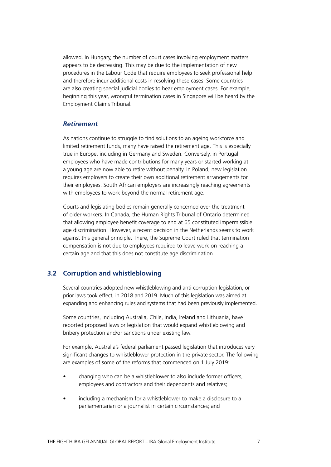allowed. In Hungary, the number of court cases involving employment matters appears to be decreasing. This may be due to the implementation of new procedures in the Labour Code that require employees to seek professional help and therefore incur additional costs in resolving these cases. Some countries are also creating special judicial bodies to hear employment cases. For example, beginning this year, wrongful termination cases in Singapore will be heard by the Employment Claims Tribunal.

# *Retirement*

As nations continue to struggle to find solutions to an ageing workforce and limited retirement funds, many have raised the retirement age. This is especially true in Europe, including in Germany and Sweden. Conversely, in Portugal employees who have made contributions for many years or started working at a young age are now able to retire without penalty. In Poland, new legislation requires employers to create their own additional retirement arrangements for their employees. South African employers are increasingly reaching agreements with employees to work beyond the normal retirement age.

Courts and legislating bodies remain generally concerned over the treatment of older workers. In Canada, the Human Rights Tribunal of Ontario determined that allowing employee benefit coverage to end at 65 constituted impermissible age discrimination. However, a recent decision in the Netherlands seems to work against this general principle. There, the Supreme Court ruled that termination compensation is not due to employees required to leave work on reaching a certain age and that this does not constitute age discrimination.

## **3.2 Corruption and whistleblowing**

Several countries adopted new whistleblowing and anti-corruption legislation, or prior laws took effect, in 2018 and 2019. Much of this legislation was aimed at expanding and enhancing rules and systems that had been previously implemented.

Some countries, including Australia, Chile, India, Ireland and Lithuania, have reported proposed laws or legislation that would expand whistleblowing and bribery protection and/or sanctions under existing law.

For example, Australia's federal parliament passed legislation that introduces very significant changes to whistleblower protection in the private sector. The following are examples of some of the reforms that commenced on 1 July 2019:

- changing who can be a whistleblower to also include former officers, employees and contractors and their dependents and relatives;
- including a mechanism for a whistleblower to make a disclosure to a parliamentarian or a journalist in certain circumstances; and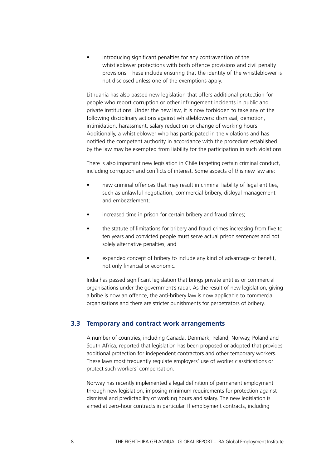introducing significant penalties for any contravention of the whistleblower protections with both offence provisions and civil penalty provisions. These include ensuring that the identity of the whistleblower is not disclosed unless one of the exemptions apply.

Lithuania has also passed new legislation that offers additional protection for people who report corruption or other infringement incidents in public and private institutions. Under the new law, it is now forbidden to take any of the following disciplinary actions against whistleblowers: dismissal, demotion, intimidation, harassment, salary reduction or change of working hours. Additionally, a whistleblower who has participated in the violations and has notified the competent authority in accordance with the procedure established by the law may be exempted from liability for the participation in such violations.

There is also important new legislation in Chile targeting certain criminal conduct, including corruption and conflicts of interest. Some aspects of this new law are:

- new criminal offences that may result in criminal liability of legal entities, such as unlawful negotiation, commercial bribery, disloyal management and embezzlement;
- increased time in prison for certain bribery and fraud crimes;
- the statute of limitations for bribery and fraud crimes increasing from five to ten years and convicted people must serve actual prison sentences and not solely alternative penalties; and
- expanded concept of bribery to include any kind of advantage or benefit, not only financial or economic.

India has passed significant legislation that brings private entities or commercial organisations under the government's radar. As the result of new legislation, giving a bribe is now an offence, the anti-bribery law is now applicable to commercial organisations and there are stricter punishments for perpetrators of bribery.

# **3.3 Temporary and contract work arrangements**

A number of countries, including Canada, Denmark, Ireland, Norway, Poland and South Africa, reported that legislation has been proposed or adopted that provides additional protection for independent contractors and other temporary workers. These laws most frequently regulate employers' use of worker classifications or protect such workers' compensation.

Norway has recently implemented a legal definition of permanent employment through new legislation, imposing minimum requirements for protection against dismissal and predictability of working hours and salary. The new legislation is aimed at zero-hour contracts in particular. If employment contracts, including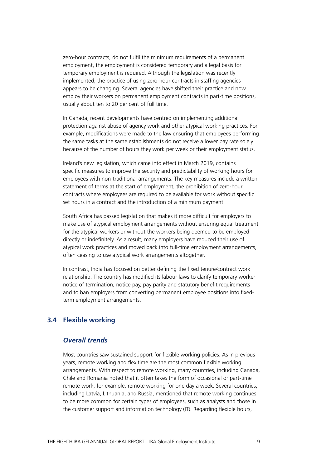zero-hour contracts, do not fulfil the minimum requirements of a permanent employment, the employment is considered temporary and a legal basis for temporary employment is required. Although the legislation was recently implemented, the practice of using zero-hour contracts in staffing agencies appears to be changing. Several agencies have shifted their practice and now employ their workers on permanent employment contracts in part-time positions, usually about ten to 20 per cent of full time.

In Canada, recent developments have centred on implementing additional protection against abuse of agency work and other atypical working practices. For example, modifications were made to the law ensuring that employees performing the same tasks at the same establishments do not receive a lower pay rate solely because of the number of hours they work per week or their employment status.

Ireland's new legislation, which came into effect in March 2019, contains specific measures to improve the security and predictability of working hours for employees with non-traditional arrangements. The key measures include a written statement of terms at the start of employment, the prohibition of zero-hour contracts where employees are required to be available for work without specific set hours in a contract and the introduction of a minimum payment.

South Africa has passed legislation that makes it more difficult for employers to make use of atypical employment arrangements without ensuring equal treatment for the atypical workers or without the workers being deemed to be employed directly or indefinitely. As a result, many employers have reduced their use of atypical work practices and moved back into full-time employment arrangements, often ceasing to use atypical work arrangements altogether.

In contrast, India has focused on better defining the fixed tenure/contract work relationship. The country has modified its labour laws to clarify temporary worker notice of termination, notice pay, pay parity and statutory benefit requirements and to ban employers from converting permanent employee positions into fixedterm employment arrangements.

# **3.4 Flexible working**

# *Overall trends*

Most countries saw sustained support for flexible working policies. As in previous years, remote working and flexitime are the most common flexible working arrangements. With respect to remote working, many countries, including Canada, Chile and Romania noted that it often takes the form of occasional or part-time remote work, for example, remote working for one day a week. Several countries, including Latvia, Lithuania, and Russia, mentioned that remote working continues to be more common for certain types of employees, such as analysts and those in the customer support and information technology (IT). Regarding flexible hours,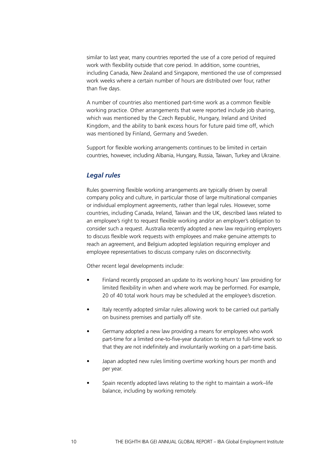similar to last year, many countries reported the use of a core period of required work with flexibility outside that core period. In addition, some countries, including Canada, New Zealand and Singapore, mentioned the use of compressed work weeks where a certain number of hours are distributed over four, rather than five days.

A number of countries also mentioned part-time work as a common flexible working practice. Other arrangements that were reported include job sharing, which was mentioned by the Czech Republic, Hungary, Ireland and United Kingdom, and the ability to bank excess hours for future paid time off, which was mentioned by Finland, Germany and Sweden.

Support for flexible working arrangements continues to be limited in certain countries, however, including Albania, Hungary, Russia, Taiwan, Turkey and Ukraine.

# *Legal rules*

Rules governing flexible working arrangements are typically driven by overall company policy and culture, in particular those of large multinational companies or individual employment agreements, rather than legal rules. However, some countries, including Canada, Ireland, Taiwan and the UK, described laws related to an employee's right to request flexible working and/or an employer's obligation to consider such a request. Australia recently adopted a new law requiring employers to discuss flexible work requests with employees and make genuine attempts to reach an agreement, and Belgium adopted legislation requiring employer and employee representatives to discuss company rules on disconnectivity.

Other recent legal developments include:

- Finland recently proposed an update to its working hours' law providing for limited flexibility in when and where work may be performed. For example, 20 of 40 total work hours may be scheduled at the employee's discretion.
- Italy recently adopted similar rules allowing work to be carried out partially on business premises and partially off site.
- Germany adopted a new law providing a means for employees who work part-time for a limited one-to-five-year duration to return to full-time work so that they are not indefinitely and involuntarily working on a part-time basis.
- Japan adopted new rules limiting overtime working hours per month and per year.
- Spain recently adopted laws relating to the right to maintain a work–life balance, including by working remotely.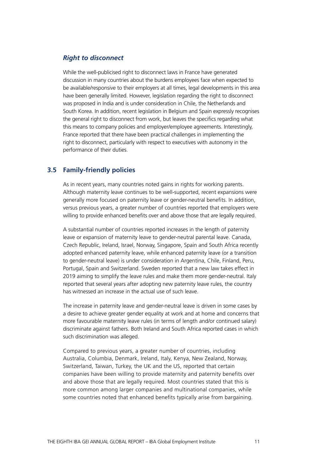# *Right to disconnect*

While the well-publicised right to disconnect laws in France have generated discussion in many countries about the burdens employees face when expected to be available/responsive to their employers at all times, legal developments in this area have been generally limited. However, legislation regarding the right to disconnect was proposed in India and is under consideration in Chile, the Netherlands and South Korea. In addition, recent legislation in Belgium and Spain expressly recognises the general right to disconnect from work, but leaves the specifics regarding what this means to company policies and employer/employee agreements. Interestingly, France reported that there have been practical challenges in implementing the right to disconnect, particularly with respect to executives with autonomy in the performance of their duties.

# **3.5 Family-friendly policies**

As in recent years, many countries noted gains in rights for working parents. Although maternity leave continues to be well-supported, recent expansions were generally more focused on paternity leave or gender-neutral benefits. In addition, versus previous years, a greater number of countries reported that employers were willing to provide enhanced benefits over and above those that are legally required.

A substantial number of countries reported increases in the length of paternity leave or expansion of maternity leave to gender-neutral parental leave. Canada, Czech Republic, Ireland, Israel, Norway, Singapore, Spain and South Africa recently adopted enhanced paternity leave, while enhanced paternity leave (or a transition to gender-neutral leave) is under consideration in Argentina, Chile, Finland, Peru, Portugal, Spain and Switzerland. Sweden reported that a new law takes effect in 2019 aiming to simplify the leave rules and make them more gender-neutral. Italy reported that several years after adopting new paternity leave rules, the country has witnessed an increase in the actual use of such leave.

The increase in paternity leave and gender-neutral leave is driven in some cases by a desire to achieve greater gender equality at work and at home and concerns that more favourable maternity leave rules (in terms of length and/or continued salary) discriminate against fathers. Both Ireland and South Africa reported cases in which such discrimination was alleged.

Compared to previous years, a greater number of countries, including Australia, Columbia, Denmark, Ireland, Italy, Kenya, New Zealand, Norway, Switzerland, Taiwan, Turkey, the UK and the US, reported that certain companies have been willing to provide maternity and paternity benefits over and above those that are legally required. Most countries stated that this is more common among larger companies and multinational companies, while some countries noted that enhanced benefits typically arise from bargaining.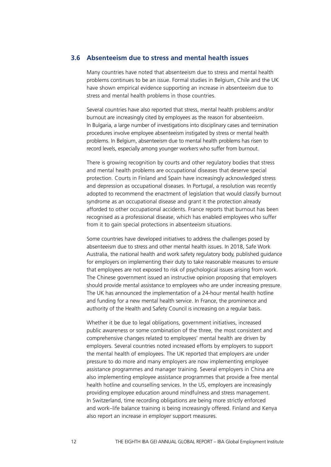# **3.6 Absenteeism due to stress and mental health issues**

Many countries have noted that absenteeism due to stress and mental health problems continues to be an issue. Formal studies in Belgium, Chile and the UK have shown empirical evidence supporting an increase in absenteeism due to stress and mental health problems in those countries.

Several countries have also reported that stress, mental health problems and/or burnout are increasingly cited by employees as the reason for absenteeism. In Bulgaria, a large number of investigations into disciplinary cases and termination procedures involve employee absenteeism instigated by stress or mental health problems. In Belgium, absenteeism due to mental health problems has risen to record levels, especially among younger workers who suffer from burnout.

There is growing recognition by courts and other regulatory bodies that stress and mental health problems are occupational diseases that deserve special protection. Courts in Finland and Spain have increasingly acknowledged stress and depression as occupational diseases. In Portugal, a resolution was recently adopted to recommend the enactment of legislation that would classify burnout syndrome as an occupational disease and grant it the protection already afforded to other occupational accidents. France reports that burnout has been recognised as a professional disease, which has enabled employees who suffer from it to gain special protections in absenteeism situations.

Some countries have developed initiatives to address the challenges posed by absenteeism due to stress and other mental health issues. In 2018, Safe Work Australia, the national health and work safety regulatory body, published guidance for employers on implementing their duty to take reasonable measures to ensure that employees are not exposed to risk of psychological issues arising from work. The Chinese government issued an instructive opinion proposing that employers should provide mental assistance to employees who are under increasing pressure. The UK has announced the implementation of a 24-hour mental health hotline and funding for a new mental health service. In France, the prominence and authority of the Health and Safety Council is increasing on a regular basis.

Whether it be due to legal obligations, government initiatives, increased public awareness or some combination of the three, the most consistent and comprehensive changes related to employees' mental health are driven by employers. Several countries noted increased efforts by employers to support the mental health of employees. The UK reported that employers are under pressure to do more and many employers are now implementing employee assistance programmes and manager training. Several employers in China are also implementing employee assistance programmes that provide a free mental health hotline and counselling services. In the US, employers are increasingly providing employee education around mindfulness and stress management. In Switzerland, time recording obligations are being more strictly enforced and work–life balance training is being increasingly offered. Finland and Kenya also report an increase in employer support measures.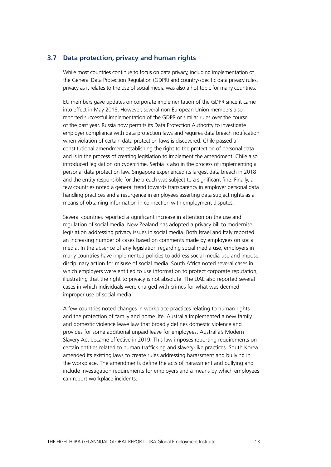# **3.7 Data protection, privacy and human rights**

While most countries continue to focus on data privacy, including implementation of the General Data Protection Regulation (GDPR) and country-specific data privacy rules, privacy as it relates to the use of social media was also a hot topic for many countries.

EU members gave updates on corporate implementation of the GDPR since it came into effect in May 2018. However, several non-European Union members also reported successful implementation of the GDPR or similar rules over the course of the past year. Russia now permits its Data Protection Authority to investigate employer compliance with data protection laws and requires data breach notification when violation of certain data protection laws is discovered. Chile passed a constitutional amendment establishing the right to the protection of personal data and is in the process of creating legislation to implement the amendment. Chile also introduced legislation on cybercrime. Serbia is also in the process of implementing a personal data protection law. Singapore experienced its largest data breach in 2018 and the entity responsible for the breach was subject to a significant fine. Finally, a few countries noted a general trend towards transparency in employer personal data handling practices and a resurgence in employees asserting data subject rights as a means of obtaining information in connection with employment disputes.

Several countries reported a significant increase in attention on the use and regulation of social media. New Zealand has adopted a privacy bill to modernise legislation addressing privacy issues in social media. Both Israel and Italy reported an increasing number of cases based on comments made by employees on social media. In the absence of any legislation regarding social media use, employers in many countries have implemented policies to address social media use and impose disciplinary action for misuse of social media. South Africa noted several cases in which employers were entitled to use information to protect corporate reputation, illustrating that the right to privacy is not absolute. The UAE also reported several cases in which individuals were charged with crimes for what was deemed improper use of social media.

A few countries noted changes in workplace practices relating to human rights and the protection of family and home life. Australia implemented a new family and domestic violence leave law that broadly defines domestic violence and provides for some additional unpaid leave for employees. Australia's Modern Slavery Act became effective in 2019. This law imposes reporting requirements on certain entities related to human trafficking and slavery-like practices. South Korea amended its existing laws to create rules addressing harassment and bullying in the workplace. The amendments define the acts of harassment and bullying and include investigation requirements for employers and a means by which employees can report workplace incidents.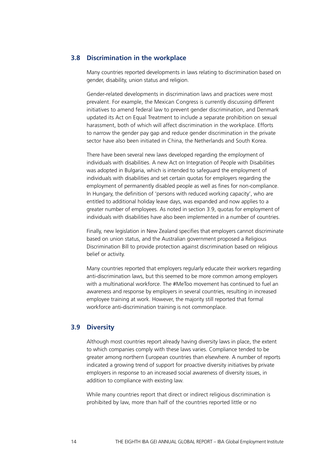# **3.8 Discrimination in the workplace**

Many countries reported developments in laws relating to discrimination based on gender, disability, union status and religion.

Gender-related developments in discrimination laws and practices were most prevalent. For example, the Mexican Congress is currently discussing different initiatives to amend federal law to prevent gender discrimination, and Denmark updated its Act on Equal Treatment to include a separate prohibition on sexual harassment, both of which will affect discrimination in the workplace. Efforts to narrow the gender pay gap and reduce gender discrimination in the private sector have also been initiated in China, the Netherlands and South Korea.

There have been several new laws developed regarding the employment of individuals with disabilities. A new Act on Integration of People with Disabilities was adopted in Bulgaria, which is intended to safeguard the employment of individuals with disabilities and set certain quotas for employers regarding the employment of permanently disabled people as well as fines for non-compliance. In Hungary, the definition of 'persons with reduced working capacity', who are entitled to additional holiday leave days, was expanded and now applies to a greater number of employees. As noted in section 3.9, quotas for employment of individuals with disabilities have also been implemented in a number of countries.

Finally, new legislation in New Zealand specifies that employers cannot discriminate based on union status, and the Australian government proposed a Religious Discrimination Bill to provide protection against discrimination based on religious belief or activity.

Many countries reported that employers regularly educate their workers regarding anti-discrimination laws, but this seemed to be more common among employers with a multinational workforce. The #MeToo movement has continued to fuel an awareness and response by employers in several countries, resulting in increased employee training at work. However, the majority still reported that formal workforce anti-discrimination training is not commonplace.

# **3.9 Diversity**

Although most countries report already having diversity laws in place, the extent to which companies comply with these laws varies. Compliance tended to be greater among northern European countries than elsewhere. A number of reports indicated a growing trend of support for proactive diversity initiatives by private employers in response to an increased social awareness of diversity issues, in addition to compliance with existing law.

While many countries report that direct or indirect religious discrimination is prohibited by law, more than half of the countries reported little or no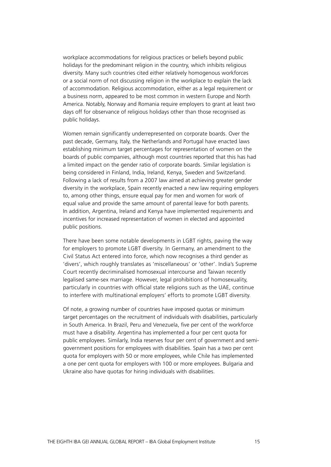workplace accommodations for religious practices or beliefs beyond public holidays for the predominant religion in the country, which inhibits religious diversity. Many such countries cited either relatively homogenous workforces or a social norm of not discussing religion in the workplace to explain the lack of accommodation. Religious accommodation, either as a legal requirement or a business norm, appeared to be most common in western Europe and North America. Notably, Norway and Romania require employers to grant at least two days off for observance of religious holidays other than those recognised as public holidays.

Women remain significantly underrepresented on corporate boards. Over the past decade, Germany, Italy, the Netherlands and Portugal have enacted laws establishing minimum target percentages for representation of women on the boards of public companies, although most countries reported that this has had a limited impact on the gender ratio of corporate boards. Similar legislation is being considered in Finland, India, Ireland, Kenya, Sweden and Switzerland. Following a lack of results from a 2007 law aimed at achieving greater gender diversity in the workplace, Spain recently enacted a new law requiring employers to, among other things, ensure equal pay for men and women for work of equal value and provide the same amount of parental leave for both parents. In addition, Argentina, Ireland and Kenya have implemented requirements and incentives for increased representation of women in elected and appointed public positions.

There have been some notable developments in LGBT rights, paving the way for employers to promote LGBT diversity. In Germany, an amendment to the Civil Status Act entered into force, which now recognises a third gender as 'divers', which roughly translates as 'miscellaneous' or 'other'. India's Supreme Court recently decriminalised homosexual intercourse and Taiwan recently legalised same-sex marriage. However, legal prohibitions of homosexuality, particularly in countries with official state religions such as the UAE, continue to interfere with multinational employers' efforts to promote LGBT diversity.

Of note, a growing number of countries have imposed quotas or minimum target percentages on the recruitment of individuals with disabilities, particularly in South America. In Brazil, Peru and Venezuela, five per cent of the workforce must have a disability. Argentina has implemented a four per cent quota for public employees. Similarly, India reserves four per cent of government and semigovernment positions for employees with disabilities. Spain has a two per cent quota for employers with 50 or more employees, while Chile has implemented a one per cent quota for employers with 100 or more employees. Bulgaria and Ukraine also have quotas for hiring individuals with disabilities.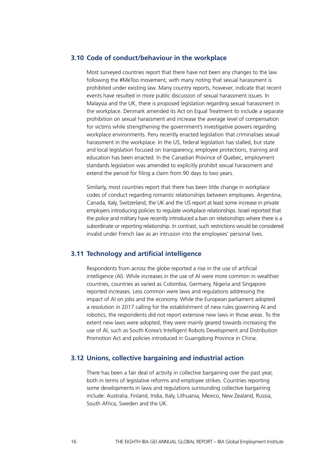# **3.10 Code of conduct/behaviour in the workplace**

Most surveyed countries report that there have not been any changes to the law following the #MeToo movement, with many noting that sexual harassment is prohibited under existing law. Many country reports, however, indicate that recent events have resulted in more public discussion of sexual harassment issues. In Malaysia and the UK, there is proposed legislation regarding sexual harassment in the workplace. Denmark amended its Act on Equal Treatment to include a separate prohibition on sexual harassment and increase the average level of compensation for victims while strengthening the government's investigative powers regarding workplace environments. Peru recently enacted legislation that criminalises sexual harassment in the workplace. In the US, federal legislation has stalled, but state and local legislation focused on transparency, employee protections, training and education has been enacted. In the Canadian Province of Quebec, employment standards legislation was amended to explicitly prohibit sexual harassment and extend the period for filing a claim from 90 days to two years.

Similarly, most countries report that there has been little change in workplace codes of conduct regarding romantic relationships between employees. Argentina, Canada, Italy, Switzerland, the UK and the US report at least some increase in private employers introducing policies to regulate workplace relationships. Israel reported that the police and military have recently introduced a ban on relationships where there is a subordinate or reporting relationship. In contrast, such restrictions would be considered invalid under French law as an intrusion into the employees' personal lives.

# **3.11 Technology and artificial intelligence**

Respondents from across the globe reported a rise in the use of artificial intelligence (AI). While increases in the use of AI were more common in wealthier countries, countries as varied as Colombia, Germany, Nigeria and Singapore reported increases. Less common were laws and regulations addressing the impact of AI on jobs and the economy. While the European parliament adopted a resolution in 2017 calling for the establishment of new rules governing AI and robotics, the respondents did not report extensive new laws in those areas. To the extent new laws were adopted, they were mainly geared towards increasing the use of AI, such as South Korea's Intelligent Robots Development and Distribution Promotion Act and policies introduced in Guangdong Province in China.

## **3.12 Unions, collective bargaining and industrial action**

There has been a fair deal of activity in collective bargaining over the past year, both in terms of legislative reforms and employee strikes. Countries reporting some developments in laws and regulations surrounding collective bargaining include: Australia, Finland, India, Italy, Lithuania, Mexico, New Zealand, Russia, South Africa, Sweden and the UK.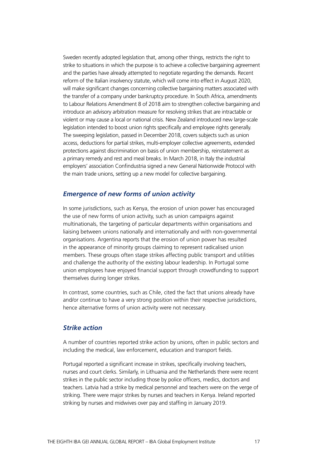Sweden recently adopted legislation that, among other things, restricts the right to strike to situations in which the purpose is to achieve a collective bargaining agreement and the parties have already attempted to negotiate regarding the demands. Recent reform of the Italian insolvency statute, which will come into effect in August 2020, will make significant changes concerning collective bargaining matters associated with the transfer of a company under bankruptcy procedure. In South Africa, amendments to Labour Relations Amendment 8 of 2018 aim to strengthen collective bargaining and introduce an advisory arbitration measure for resolving strikes that are intractable or violent or may cause a local or national crisis. New Zealand introduced new large-scale legislation intended to boost union rights specifically and employee rights generally. The sweeping legislation, passed in December 2018, covers subjects such as union access, deductions for partial strikes, multi-employer collective agreements, extended protections against discrimination on basis of union membership, reinstatement as a primary remedy and rest and meal breaks. In March 2018, in Italy the industrial employers' association Confindustria signed a new General Nationwide Protocol with the main trade unions, setting up a new model for collective bargaining.

# *Emergence of new forms of union activity*

In some jurisdictions, such as Kenya, the erosion of union power has encouraged the use of new forms of union activity, such as union campaigns against multinationals, the targeting of particular departments within organisations and liaising between unions nationally and internationally and with non-governmental organisations. Argentina reports that the erosion of union power has resulted in the appearance of minority groups claiming to represent radicalised union members. These groups often stage strikes affecting public transport and utilities and challenge the authority of the existing labour leadership. In Portugal some union employees have enjoyed financial support through crowdfunding to support themselves during longer strikes.

In contrast, some countries, such as Chile, cited the fact that unions already have and/or continue to have a very strong position within their respective jurisdictions, hence alternative forms of union activity were not necessary.

# *Strike action*

A number of countries reported strike action by unions, often in public sectors and including the medical, law enforcement, education and transport fields.

Portugal reported a significant increase in strikes, specifically involving teachers, nurses and court clerks. Similarly, in Lithuania and the Netherlands there were recent strikes in the public sector including those by police officers, medics, doctors and teachers. Latvia had a strike by medical personnel and teachers were on the verge of striking. There were major strikes by nurses and teachers in Kenya. Ireland reported striking by nurses and midwives over pay and staffing in January 2019.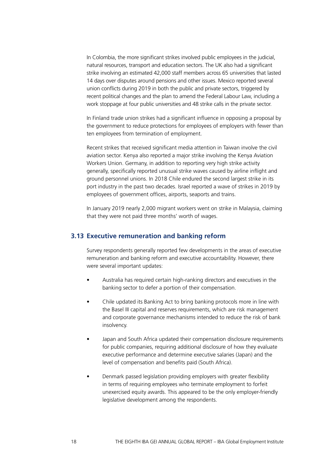In Colombia, the more significant strikes involved public employees in the judicial, natural resources, transport and education sectors. The UK also had a significant strike involving an estimated 42,000 staff members across 65 universities that lasted 14 days over disputes around pensions and other issues. Mexico reported several union conflicts during 2019 in both the public and private sectors, triggered by recent political changes and the plan to amend the Federal Labour Law, including a work stoppage at four public universities and 48 strike calls in the private sector.

In Finland trade union strikes had a significant influence in opposing a proposal by the government to reduce protections for employees of employers with fewer than ten employees from termination of employment.

Recent strikes that received significant media attention in Taiwan involve the civil aviation sector. Kenya also reported a major strike involving the Kenya Aviation Workers Union. Germany, in addition to reporting very high strike activity generally, specifically reported unusual strike waves caused by airline inflight and ground personnel unions. In 2018 Chile endured the second largest strike in its port industry in the past two decades. Israel reported a wave of strikes in 2019 by employees of government offices, airports, seaports and trains.

In January 2019 nearly 2,000 migrant workers went on strike in Malaysia, claiming that they were not paid three months' worth of wages.

# **3.13 Executive remuneration and banking reform**

Survey respondents generally reported few developments in the areas of executive remuneration and banking reform and executive accountability. However, there were several important updates:

- Australia has required certain high-ranking directors and executives in the banking sector to defer a portion of their compensation.
- Chile updated its Banking Act to bring banking protocols more in line with the Basel III capital and reserves requirements, which are risk management and corporate governance mechanisms intended to reduce the risk of bank insolvency.
- Japan and South Africa updated their compensation disclosure requirements for public companies, requiring additional disclosure of how they evaluate executive performance and determine executive salaries (Japan) and the level of compensation and benefits paid (South Africa).
- Denmark passed legislation providing employers with greater flexibility in terms of requiring employees who terminate employment to forfeit unexercised equity awards. This appeared to be the only employer-friendly legislative development among the respondents.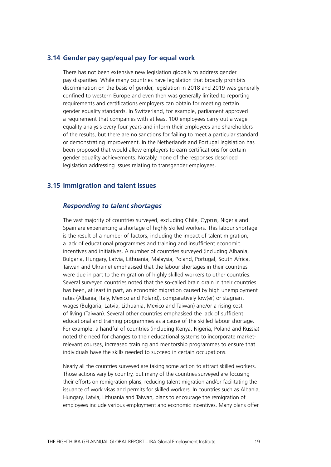# **3.14 Gender pay gap/equal pay for equal work**

There has not been extensive new legislation globally to address gender pay disparities. While many countries have legislation that broadly prohibits discrimination on the basis of gender, legislation in 2018 and 2019 was generally confined to western Europe and even then was generally limited to reporting requirements and certifications employers can obtain for meeting certain gender equality standards. In Switzerland, for example, parliament approved a requirement that companies with at least 100 employees carry out a wage equality analysis every four years and inform their employees and shareholders of the results, but there are no sanctions for failing to meet a particular standard or demonstrating improvement. In the Netherlands and Portugal legislation has been proposed that would allow employers to earn certifications for certain gender equality achievements. Notably, none of the responses described legislation addressing issues relating to transgender employees.

# **3.15 Immigration and talent issues**

# *Responding to talent shortages*

The vast majority of countries surveyed, excluding Chile, Cyprus, Nigeria and Spain are experiencing a shortage of highly skilled workers. This labour shortage is the result of a number of factors, including the impact of talent migration, a lack of educational programmes and training and insufficient economic incentives and initiatives. A number of countries surveyed (including Albania, Bulgaria, Hungary, Latvia, Lithuania, Malaysia, Poland, Portugal, South Africa, Taiwan and Ukraine) emphasised that the labour shortages in their countries were due in part to the migration of highly skilled workers to other countries. Several surveyed countries noted that the so-called brain drain in their countries has been, at least in part, an economic migration caused by high unemployment rates (Albania, Italy, Mexico and Poland), comparatively low(er) or stagnant wages (Bulgaria, Latvia, Lithuania, Mexico and Taiwan) and/or a rising cost of living (Taiwan). Several other countries emphasised the lack of sufficient educational and training programmes as a cause of the skilled labour shortage. For example, a handful of countries (including Kenya, Nigeria, Poland and Russia) noted the need for changes to their educational systems to incorporate marketrelevant courses, increased training and mentorship programmes to ensure that individuals have the skills needed to succeed in certain occupations.

Nearly all the countries surveyed are taking some action to attract skilled workers. Those actions vary by country, but many of the countries surveyed are focusing their efforts on remigration plans, reducing talent migration and/or facilitating the issuance of work visas and permits for skilled workers. In countries such as Albania, Hungary, Latvia, Lithuania and Taiwan, plans to encourage the remigration of employees include various employment and economic incentives. Many plans offer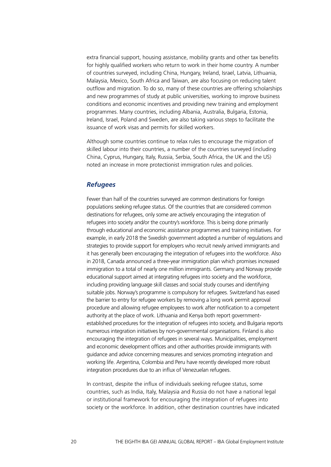extra financial support, housing assistance, mobility grants and other tax benefits for highly qualified workers who return to work in their home country. A number of countries surveyed, including China, Hungary, Ireland, Israel, Latvia, Lithuania, Malaysia, Mexico, South Africa and Taiwan, are also focusing on reducing talent outflow and migration. To do so, many of these countries are offering scholarships and new programmes of study at public universities, working to improve business conditions and economic incentives and providing new training and employment programmes. Many countries, including Albania, Australia, Bulgaria, Estonia, Ireland, Israel, Poland and Sweden, are also taking various steps to facilitate the issuance of work visas and permits for skilled workers.

Although some countries continue to relax rules to encourage the migration of skilled labour into their countries, a number of the countries surveyed (including China, Cyprus, Hungary, Italy, Russia, Serbia, South Africa, the UK and the US) noted an increase in more protectionist immigration rules and policies.

# *Refugees*

Fewer than half of the countries surveyed are common destinations for foreign populations seeking refugee status. Of the countries that are considered common destinations for refugees, only some are actively encouraging the integration of refugees into society and/or the country's workforce. This is being done primarily through educational and economic assistance programmes and training initiatives. For example, in early 2018 the Swedish government adopted a number of regulations and strategies to provide support for employers who recruit newly arrived immigrants and it has generally been encouraging the integration of refugees into the workforce. Also in 2018, Canada announced a three-year immigration plan which promises increased immigration to a total of nearly one million immigrants. Germany and Norway provide educational support aimed at integrating refugees into society and the workforce, including providing language skill classes and social study courses and identifying suitable jobs. Norway's programme is compulsory for refugees. Switzerland has eased the barrier to entry for refugee workers by removing a long work permit approval procedure and allowing refugee employees to work after notification to a competent authority at the place of work. Lithuania and Kenya both report governmentestablished procedures for the integration of refugees into society, and Bulgaria reports numerous integration initiatives by non-governmental organisations. Finland is also encouraging the integration of refugees in several ways. Municipalities, employment and economic development offices and other authorities provide immigrants with guidance and advice concerning measures and services promoting integration and working life. Argentina, Colombia and Peru have recently developed more robust integration procedures due to an influx of Venezuelan refugees.

In contrast, despite the influx of individuals seeking refugee status, some countries, such as India, Italy, Malaysia and Russia do not have a national legal or institutional framework for encouraging the integration of refugees into society or the workforce. In addition, other destination countries have indicated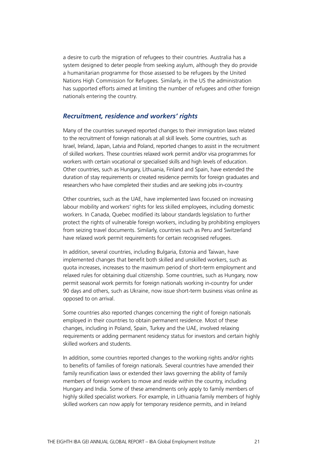a desire to curb the migration of refugees to their countries. Australia has a system designed to deter people from seeking asylum, although they do provide a humanitarian programme for those assessed to be refugees by the United Nations High Commission for Refugees. Similarly, in the US the administration has supported efforts aimed at limiting the number of refugees and other foreign nationals entering the country.

## *Recruitment, residence and workers' rights*

Many of the countries surveyed reported changes to their immigration laws related to the recruitment of foreign nationals at all skill levels. Some countries, such as Israel, Ireland, Japan, Latvia and Poland, reported changes to assist in the recruitment of skilled workers. These countries relaxed work permit and/or visa programmes for workers with certain vocational or specialised skills and high levels of education. Other countries, such as Hungary, Lithuania, Finland and Spain, have extended the duration of stay requirements or created residence permits for foreign graduates and researchers who have completed their studies and are seeking jobs in-country.

Other countries, such as the UAE, have implemented laws focused on increasing labour mobility and workers' rights for less skilled employees, including domestic workers. In Canada, Quebec modified its labour standards legislation to further protect the rights of vulnerable foreign workers, including by prohibiting employers from seizing travel documents. Similarly, countries such as Peru and Switzerland have relaxed work permit requirements for certain recognised refugees.

In addition, several countries, including Bulgaria, Estonia and Taiwan, have implemented changes that benefit both skilled and unskilled workers, such as quota increases, increases to the maximum period of short-term employment and relaxed rules for obtaining dual citizenship. Some countries, such as Hungary, now permit seasonal work permits for foreign nationals working in-country for under 90 days and others, such as Ukraine, now issue short-term business visas online as opposed to on arrival.

Some countries also reported changes concerning the right of foreign nationals employed in their countries to obtain permanent residence. Most of these changes, including in Poland, Spain, Turkey and the UAE, involved relaxing requirements or adding permanent residency status for investors and certain highly skilled workers and students.

In addition, some countries reported changes to the working rights and/or rights to benefits of families of foreign nationals. Several countries have amended their family reunification laws or extended their laws governing the ability of family members of foreign workers to move and reside within the country, including Hungary and India. Some of these amendments only apply to family members of highly skilled specialist workers. For example, in Lithuania family members of highly skilled workers can now apply for temporary residence permits, and in Ireland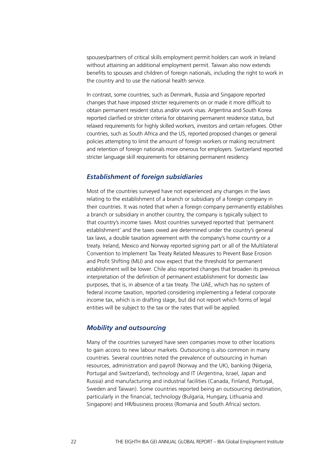spouses/partners of critical skills employment permit holders can work in Ireland without attaining an additional employment permit. Taiwan also now extends benefits to spouses and children of foreign nationals, including the right to work in the country and to use the national health service.

In contrast, some countries, such as Denmark, Russia and Singapore reported changes that have imposed stricter requirements on or made it more difficult to obtain permanent resident status and/or work visas. Argentina and South Korea reported clarified or stricter criteria for obtaining permanent residence status, but relaxed requirements for highly skilled workers, investors and certain refugees. Other countries, such as South Africa and the US, reported proposed changes or general policies attempting to limit the amount of foreign workers or making recruitment and retention of foreign nationals more onerous for employers. Switzerland reported stricter language skill requirements for obtaining permanent residency.

#### *Establishment of foreign subsidiaries*

Most of the countries surveyed have not experienced any changes in the laws relating to the establishment of a branch or subsidiary of a foreign company in their countries. It was noted that when a foreign company permanently establishes a branch or subsidiary in another country, the company is typically subject to that country's income taxes. Most countries surveyed reported that 'permanent establishment' and the taxes owed are determined under the country's general tax laws, a double taxation agreement with the company's home country or a treaty. Ireland, Mexico and Norway reported signing part or all of the Multilateral Convention to Implement Tax Treaty Related Measures to Prevent Base Erosion and Profit Shifting (MLI) and now expect that the threshold for permanent establishment will be lower. Chile also reported changes that broaden its previous interpretation of the definition of permanent establishment for domestic law purposes, that is, in absence of a tax treaty. The UAE, which has no system of federal income taxation, reported considering implementing a federal corporate income tax, which is in drafting stage, but did not report which forms of legal entities will be subject to the tax or the rates that will be applied.

# *Mobility and outsourcing*

Many of the countries surveyed have seen companies move to other locations to gain access to new labour markets. Outsourcing is also common in many countries. Several countries noted the prevalence of outsourcing in human resources, administration and payroll (Norway and the UK), banking (Nigeria, Portugal and Switzerland), technology and IT (Argentina, Israel, Japan and Russia) and manufacturing and industrial facilities (Canada, Finland, Portugal, Sweden and Taiwan). Some countries reported being an outsourcing destination, particularly in the financial, technology (Bulgaria, Hungary, Lithuania and Singapore) and HR/business process (Romania and South Africa) sectors.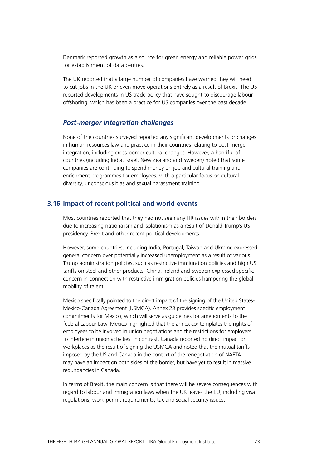Denmark reported growth as a source for green energy and reliable power grids for establishment of data centres.

The UK reported that a large number of companies have warned they will need to cut jobs in the UK or even move operations entirely as a result of Brexit. The US reported developments in US trade policy that have sought to discourage labour offshoring, which has been a practice for US companies over the past decade.

# *Post-merger integration challenges*

None of the countries surveyed reported any significant developments or changes in human resources law and practice in their countries relating to post-merger integration, including cross-border cultural changes. However, a handful of countries (including India, Israel, New Zealand and Sweden) noted that some companies are continuing to spend money on job and cultural training and enrichment programmes for employees, with a particular focus on cultural diversity, unconscious bias and sexual harassment training.

# **3.16 Impact of recent political and world events**

Most countries reported that they had not seen any HR issues within their borders due to increasing nationalism and isolationism as a result of Donald Trump's US presidency, Brexit and other recent political developments.

However, some countries, including India, Portugal, Taiwan and Ukraine expressed general concern over potentially increased unemployment as a result of various Trump administration policies, such as restrictive immigration policies and high US tariffs on steel and other products. China, Ireland and Sweden expressed specific concern in connection with restrictive immigration policies hampering the global mobility of talent.

Mexico specifically pointed to the direct impact of the signing of the United States-Mexico-Canada Agreement (USMCA). Annex 23 provides specific employment commitments for Mexico, which will serve as guidelines for amendments to the federal Labour Law. Mexico highlighted that the annex contemplates the rights of employees to be involved in union negotiations and the restrictions for employers to interfere in union activities. In contrast, Canada reported no direct impact on workplaces as the result of signing the USMCA and noted that the mutual tariffs imposed by the US and Canada in the context of the renegotiation of NAFTA may have an impact on both sides of the border, but have yet to result in massive redundancies in Canada.

In terms of Brexit, the main concern is that there will be severe consequences with regard to labour and immigration laws when the UK leaves the EU, including visa regulations, work permit requirements, tax and social security issues.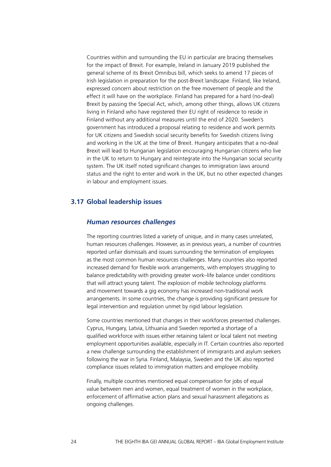Countries within and surrounding the EU in particular are bracing themselves for the impact of Brexit. For example, Ireland in January 2019 published the general scheme of its Brexit Omnibus bill, which seeks to amend 17 pieces of Irish legislation in preparation for the post-Brexit landscape. Finland, like Ireland, expressed concern about restriction on the free movement of people and the effect it will have on the workplace. Finland has prepared for a hard (no-deal) Brexit by passing the Special Act, which, among other things, allows UK citizens living in Finland who have registered their EU right of residence to reside in Finland without any additional measures until the end of 2020. Sweden's government has introduced a proposal relating to residence and work permits for UK citizens and Swedish social security benefits for Swedish citizens living and working in the UK at the time of Brexit. Hungary anticipates that a no-deal Brexit will lead to Hungarian legislation encouraging Hungarian citizens who live in the UK to return to Hungary and reintegrate into the Hungarian social security system. The UK itself noted significant changes to immigration laws around status and the right to enter and work in the UK, but no other expected changes in labour and employment issues.

# **3.17 Global leadership issues**

#### *Human resources challenges*

The reporting countries listed a variety of unique, and in many cases unrelated, human resources challenges. However, as in previous years, a number of countries reported unfair dismissals and issues surrounding the termination of employees as the most common human resources challenges. Many countries also reported increased demand for flexible work arrangements, with employers struggling to balance predictability with providing greater work–life balance under conditions that will attract young talent. The explosion of mobile technology platforms and movement towards a gig economy has increased non-traditional work arrangements. In some countries, the change is providing significant pressure for legal intervention and regulation unmet by rigid labour legislation.

Some countries mentioned that changes in their workforces presented challenges. Cyprus, Hungary, Latvia, Lithuania and Sweden reported a shortage of a qualified workforce with issues either retaining talent or local talent not meeting employment opportunities available, especially in IT. Certain countries also reported a new challenge surrounding the establishment of immigrants and asylum seekers following the war in Syria. Finland, Malaysia, Sweden and the UK also reported compliance issues related to immigration matters and employee mobility.

Finally, multiple countries mentioned equal compensation for jobs of equal value between men and women, equal treatment of women in the workplace, enforcement of affirmative action plans and sexual harassment allegations as ongoing challenges.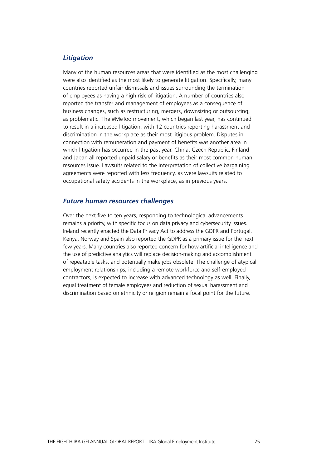# *Litigation*

Many of the human resources areas that were identified as the most challenging were also identified as the most likely to generate litigation. Specifically, many countries reported unfair dismissals and issues surrounding the termination of employees as having a high risk of litigation. A number of countries also reported the transfer and management of employees as a consequence of business changes, such as restructuring, mergers, downsizing or outsourcing, as problematic. The #MeToo movement, which began last year, has continued to result in a increased litigation, with 12 countries reporting harassment and discrimination in the workplace as their most litigious problem. Disputes in connection with remuneration and payment of benefits was another area in which litigation has occurred in the past year. China, Czech Republic, Finland and Japan all reported unpaid salary or benefits as their most common human resources issue. Lawsuits related to the interpretation of collective bargaining agreements were reported with less frequency, as were lawsuits related to occupational safety accidents in the workplace, as in previous years.

# *Future human resources challenges*

Over the next five to ten years, responding to technological advancements remains a priority, with specific focus on data privacy and cybersecurity issues. Ireland recently enacted the Data Privacy Act to address the GDPR and Portugal, Kenya, Norway and Spain also reported the GDPR as a primary issue for the next few years. Many countries also reported concern for how artificial intelligence and the use of predictive analytics will replace decision-making and accomplishment of repeatable tasks, and potentially make jobs obsolete. The challenge of atypical employment relationships, including a remote workforce and self-employed contractors, is expected to increase with advanced technology as well. Finally, equal treatment of female employees and reduction of sexual harassment and discrimination based on ethnicity or religion remain a focal point for the future.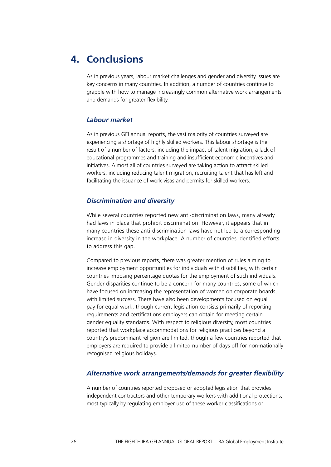# **4. Conclusions**

As in previous years, labour market challenges and gender and diversity issues are key concerns in many countries. In addition, a number of countries continue to grapple with how to manage increasingly common alternative work arrangements and demands for greater flexibility.

# *Labour market*

As in previous GEI annual reports, the vast majority of countries surveyed are experiencing a shortage of highly skilled workers. This labour shortage is the result of a number of factors, including the impact of talent migration, a lack of educational programmes and training and insufficient economic incentives and initiatives. Almost all of countries surveyed are taking action to attract skilled workers, including reducing talent migration, recruiting talent that has left and facilitating the issuance of work visas and permits for skilled workers.

# *Discrimination and diversity*

While several countries reported new anti-discrimination laws, many already had laws in place that prohibit discrimination. However, it appears that in many countries these anti-discrimination laws have not led to a corresponding increase in diversity in the workplace. A number of countries identified efforts to address this gap.

Compared to previous reports, there was greater mention of rules aiming to increase employment opportunities for individuals with disabilities, with certain countries imposing percentage quotas for the employment of such individuals. Gender disparities continue to be a concern for many countries, some of which have focused on increasing the representation of women on corporate boards, with limited success. There have also been developments focused on equal pay for equal work, though current legislation consists primarily of reporting requirements and certifications employers can obtain for meeting certain gender equality standards. With respect to religious diversity, most countries reported that workplace accommodations for religious practices beyond a country's predominant religion are limited, though a few countries reported that employers are required to provide a limited number of days off for non-nationally recognised religious holidays.

#### *Alternative work arrangements/demands for greater flexibility*

A number of countries reported proposed or adopted legislation that provides independent contractors and other temporary workers with additional protections, most typically by regulating employer use of these worker classifications or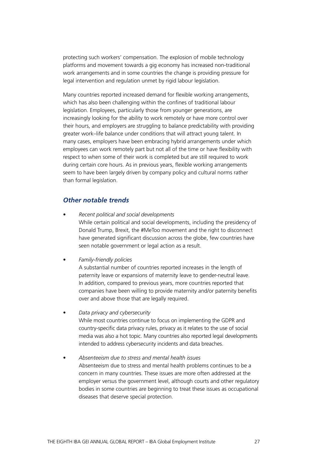protecting such workers' compensation. The explosion of mobile technology platforms and movement towards a gig economy has increased non-traditional work arrangements and in some countries the change is providing pressure for legal intervention and regulation unmet by rigid labour legislation.

Many countries reported increased demand for flexible working arrangements, which has also been challenging within the confines of traditional labour legislation. Employees, particularly those from younger generations, are increasingly looking for the ability to work remotely or have more control over their hours, and employers are struggling to balance predictability with providing greater work–life balance under conditions that will attract young talent. In many cases, employers have been embracing hybrid arrangements under which employees can work remotely part but not all of the time or have flexibility with respect to when some of their work is completed but are still required to work during certain core hours. As in previous years, flexible working arrangements seem to have been largely driven by company policy and cultural norms rather than formal legislation.

# *Other notable trends*

• *Recent political and social developments* While certain political and social developments, including the presidency of Donald Trump, Brexit, the #MeToo movement and the right to disconnect have generated significant discussion across the globe, few countries have seen notable government or legal action as a result.

#### • *Family-friendly policies*

A substantial number of countries reported increases in the length of paternity leave or expansions of maternity leave to gender-neutral leave. In addition, compared to previous years, more countries reported that companies have been willing to provide maternity and/or paternity benefits over and above those that are legally required.

• *Data privacy and cybersecurity*

While most countries continue to focus on implementing the GDPR and country-specific data privacy rules, privacy as it relates to the use of social media was also a hot topic. Many countries also reported legal developments intended to address cybersecurity incidents and data breaches.

• *Absenteeism due to stress and mental health issues* Absenteeism due to stress and mental health problems continues to be a concern in many countries. These issues are more often addressed at the employer versus the government level, although courts and other regulatory bodies in some countries are beginning to treat these issues as occupational diseases that deserve special protection.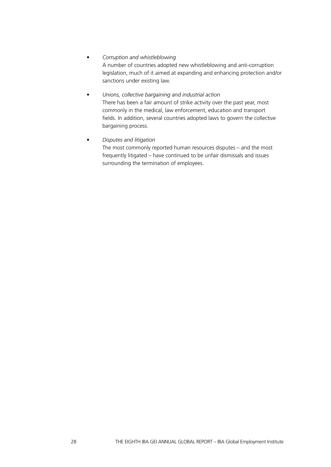# • *Corruption and whistleblowing*

A number of countries adopted new whistleblowing and anti-corruption legislation, much of it aimed at expanding and enhancing protection and/or sanctions under existing law.

# • *Unions, collective bargaining and industrial action* There has been a fair amount of strike activity over the past year, most commonly in the medical, law enforcement, education and transport fields. In addition, several countries adopted laws to govern the collective bargaining process.

• *Disputes and litigation*

The most commonly reported human resources disputes – and the most frequently litigated – have continued to be unfair dismissals and issues surrounding the termination of employees.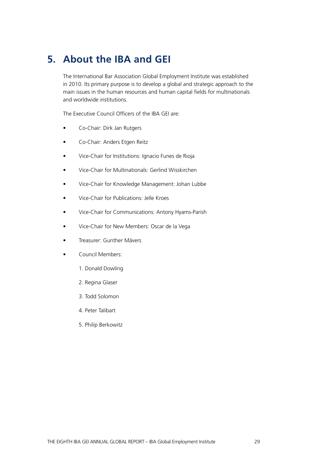# **5. About the IBA and GEI**

The International Bar Association Global Employment Institute was established in 2010. Its primary purpose is to develop a global and strategic approach to the main issues in the human resources and human capital fields for multinationals and worldwide institutions.

The Executive Council Officers of the IBA GEI are:

- Co-Chair: Dirk Jan Rutgers
- Co-Chair: Anders Etgen Reitz
- Vice-Chair for Institutions: Ignacio Funes de Rioja
- Vice-Chair for Multinationals: Gerlind Wisskirchen
- Vice-Chair for Knowledge Management: Johan Lubbe
- Vice-Chair for Publications: Jelle Kroes
- Vice-Chair for Communications: Antony Hyams-Parish
- Vice-Chair for New Members: Oscar de la Vega
- Treasurer: Gunther Mävers
- Council Members:
	- 1. Donald Dowling
	- 2. Regina Glaser
	- 3. Todd Solomon
	- 4. Peter Talibart
	- 5. Philip Berkowitz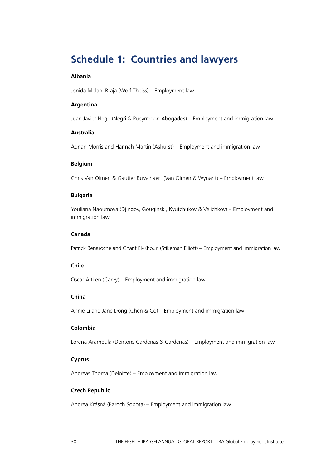# **Schedule 1: Countries and lawyers**

#### **Albania**

Jonida Melani Braja (Wolf Theiss) – Employment law

#### **Argentina**

Juan Javier Negri (Negri & Pueyrredon Abogados) – Employment and immigration law

#### **Australia**

Adrian Morris and Hannah Martin (Ashurst) – Employment and immigration law

#### **Belgium**

Chris Van Olmen & Gautier Busschaert (Van Olmen & Wynant) – Employment law

#### **Bulgaria**

Youliana Naoumova (Djingov, Gouginski, Kyutchukov & Velichkov) – Employment and immigration law

## **Canada**

Patrick Benaroche and Charif El-Khouri (Stikeman Elliott) – Employment and immigration law

# **Chile**

Oscar Aitken (Carey) – Employment and immigration law

# **China**

Annie Li and Jane Dong (Chen & Co) – Employment and immigration law

# **Colombia**

Lorena Arámbula (Dentons Cardenas & Cardenas) – Employment and immigration law

#### **Cyprus**

Andreas Thoma (Deloitte) – Employment and immigration law

#### **Czech Republic**

Andrea Krásná (Baroch Sobota) – Employment and immigration law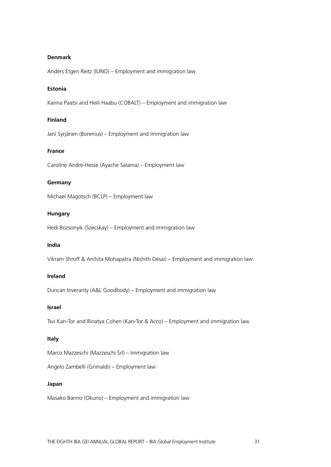#### **Denmark**

Anders Etgen Reitz (IUNO) – Employment and immigration law

## **Estonia**

Karina Paatsi and Heili Haabu (COBALT) – Employment and immigration law

# **Finland**

Jani Syrjänen (Borenius) – Employment and immigration law

#### **France**

Caroline André-Hesse (Ayache Salama) – Employment law

#### **Germany**

Michael Magotsch (BCLP) – Employment law

#### **Hungary**

Hedi Bozsonyik (Szecskay) – Employment and immigration law

#### **India**

Vikram Shroff & Archita Mohapatra (Nishith Desai) – Employment and immigration law

# **Ireland**

Duncan Inverarity (A&L Goodbody) – Employment and immigration law

#### **Israel**

Tsvi Kan-Tor and Rinatya Cohen (Kan-Tor & Acco) – Employment and immigration law

#### **Italy**

Marco Mazzeschi (Mazzeschi Srl) – Immigration law

Angelo Zambelli (Grimaldi) – Employment law

#### **Japan**

Masako Banno (Okuno) – Employment and immigration law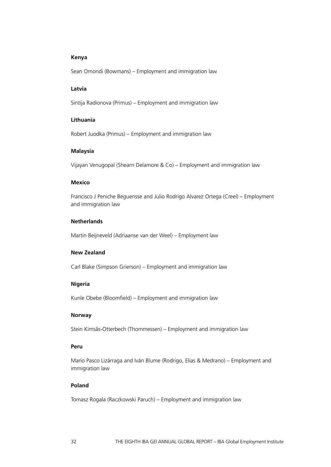#### **Kenya**

Sean Omondi (Bowmans) – Employment and immigration law

#### **Latvia**

Sintija Radionova (Primus) – Employment and immigration law

#### **Lithuania**

Robert Juodka (Primus) – Employment and immigration law

#### **Malaysia**

Vijayan Venugopal (Shearn Delamore & Co) – Employment and immigration law

#### **Mexico**

Francisco J Peniche Beguerisse and Julio Rodrigo Alvarez Ortega (Creel) – Employment and immigration law

#### **Netherlands**

Martin Beijneveld (Adriaanse van der Weel) – Employment law

# **New Zealand**

Carl Blake (Simpson Grierson) – Employment and immigration law

#### **Nigeria**

Kunle Obebe (Bloomfield) – Employment and immigration law

#### **Norway**

Stein Kimsås-Otterbech (Thommessen) – Employment and immigration law

# **Peru**

Mario Pasco Lizárraga and Iván Blume (Rodrigo, Elias & Medrano) – Employment and immigration law

# **Poland**

Tomasz Rogala (Raczkowski Paruch) – Employment and immigration law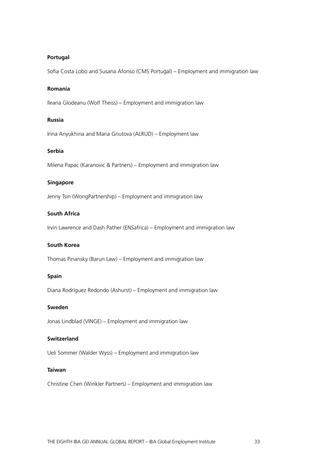#### **Portugal**

Sofia Costa Lobo and Susana Afonso (CMS Portugal) – Employment and immigration law

#### **Romania**

Ileana Glodeanu (Wolf Theiss) – Employment and immigration law

#### **Russia**

Irina Anyukhina and Maria Gnutova (ALRUD) – Employment law

#### **Serbia**

Milena Papac (Karanovic & Partners) – Employment and immigration law

#### **Singapore**

Jenny Tsin (WongPartnership) – Employment and immigration law

#### **South Africa**

Irvin Lawrence and Dash Pather (ENSafrica) – Employment and immigration law

#### **South Korea**

Thomas Pinansky (Barun Law) – Employment and immigration law

#### **Spain**

Diana Rodríguez Redondo (Ashurst) – Employment and immigration law

#### **Sweden**

Jonas Lindblad (VINGE) – Employment and immigration law

#### **Switzerland**

Ueli Sommer (Walder Wyss) – Employment and immigration law

#### **Taiwan**

Christine Chen (Winkler Partners) – Employment and immigration law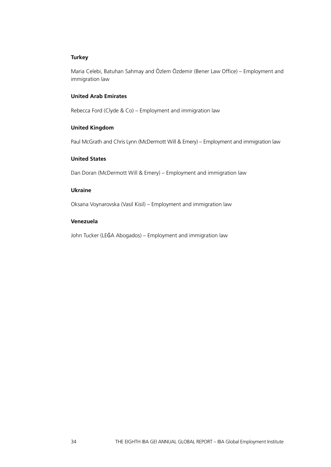# **Turkey**

Maria Celebi, Batuhan Sahmay and Özlem Özdemir (Bener Law Office) – Employment and immigration law

# **United Arab Emirates**

Rebecca Ford (Clyde & Co) – Employment and immigration law

#### **United Kingdom**

Paul McGrath and Chris Lynn (McDermott Will & Emery) – Employment and immigration law

#### **United States**

Dan Doran (McDermott Will & Emery) – Employment and immigration law

#### **Ukraine**

Oksana Voynarovska (Vasil Kisil) – Employment and immigration law

#### **Venezuela**

John Tucker (LEĜA Abogados) – Employment and immigration law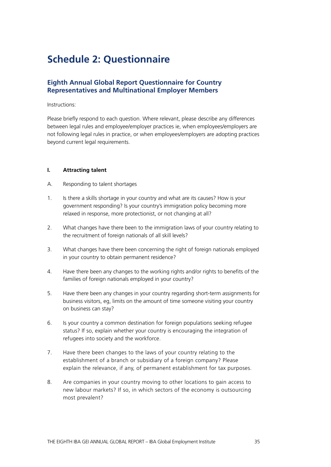# **Schedule 2: Questionnaire**

# **Eighth Annual Global Report Questionnaire for Country Representatives and Multinational Employer Members**

#### Instructions:

Please briefly respond to each question. Where relevant, please describe any differences between legal rules and employee/employer practices ie, when employees/employers are not following legal rules in practice, or when employees/employers are adopting practices beyond current legal requirements.

#### **I. Attracting talent**

- A. Responding to talent shortages
- 1. Is there a skills shortage in your country and what are its causes? How is your government responding? Is your country's immigration policy becoming more relaxed in response, more protectionist, or not changing at all?
- 2. What changes have there been to the immigration laws of your country relating to the recruitment of foreign nationals of all skill levels?
- 3. What changes have there been concerning the right of foreign nationals employed in your country to obtain permanent residence?
- 4. Have there been any changes to the working rights and/or rights to benefits of the families of foreign nationals employed in your country?
- 5. Have there been any changes in your country regarding short-term assignments for business visitors, eg, limits on the amount of time someone visiting your country on business can stay?
- 6. Is your country a common destination for foreign populations seeking refugee status? If so, explain whether your country is encouraging the integration of refugees into society and the workforce.
- 7. Have there been changes to the laws of your country relating to the establishment of a branch or subsidiary of a foreign company? Please explain the relevance, if any, of permanent establishment for tax purposes.
- 8. Are companies in your country moving to other locations to gain access to new labour markets? If so, in which sectors of the economy is outsourcing most prevalent?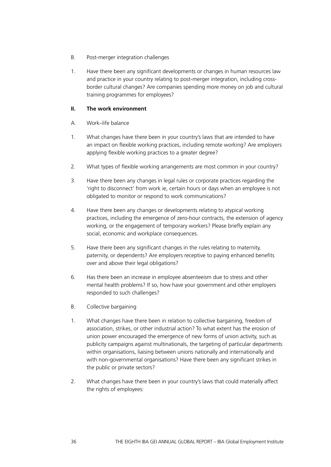- B. Post-merger integration challenges
- 1. Have there been any significant developments or changes in human resources law and practice in your country relating to post-merger integration, including crossborder cultural changes? Are companies spending more money on job and cultural training programmes for employees?

# **II. The work environment**

- A. Work–life balance
- 1. What changes have there been in your country's laws that are intended to have an impact on flexible working practices, including remote working? Are employers applying flexible working practices to a greater degree?
- 2. What types of flexible working arrangements are most common in your country?
- 3. Have there been any changes in legal rules or corporate practices regarding the 'right to disconnect' from work ie, certain hours or days when an employee is not obligated to monitor or respond to work communications?
- 4. Have there been any changes or developments relating to atypical working practices, including the emergence of zero-hour contracts, the extension of agency working, or the engagement of temporary workers? Please briefly explain any social, economic and workplace consequences.
- 5. Have there been any significant changes in the rules relating to maternity, paternity, or dependents? Are employers receptive to paying enhanced benefits over and above their legal obligations?
- 6. Has there been an increase in employee absenteeism due to stress and other mental health problems? If so, how have your government and other employers responded to such challenges?
- B. Collective bargaining
- 1. What changes have there been in relation to collective bargaining, freedom of association, strikes, or other industrial action? To what extent has the erosion of union power encouraged the emergence of new forms of union activity, such as publicity campaigns against multinationals, the targeting of particular departments within organisations, liaising between unions nationally and internationally and with non-governmental organisations? Have there been any significant strikes in the public or private sectors?
- 2. What changes have there been in your country's laws that could materially affect the rights of employees: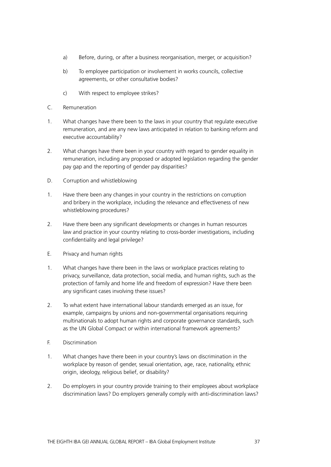- a) Before, during, or after a business reorganisation, merger, or acquisition?
- b) To employee participation or involvement in works councils, collective agreements, or other consultative bodies?
- c) With respect to employee strikes?
- C. Remuneration
- 1. What changes have there been to the laws in your country that regulate executive remuneration, and are any new laws anticipated in relation to banking reform and executive accountability?
- 2. What changes have there been in your country with regard to gender equality in remuneration, including any proposed or adopted legislation regarding the gender pay gap and the reporting of gender pay disparities?
- D. Corruption and whistleblowing
- 1. Have there been any changes in your country in the restrictions on corruption and bribery in the workplace, including the relevance and effectiveness of new whistleblowing procedures?
- 2. Have there been any significant developments or changes in human resources law and practice in your country relating to cross-border investigations, including confidentiality and legal privilege?
- E. Privacy and human rights
- 1. What changes have there been in the laws or workplace practices relating to privacy, surveillance, data protection, social media, and human rights, such as the protection of family and home life and freedom of expression? Have there been any significant cases involving these issues?
- 2. To what extent have international labour standards emerged as an issue, for example, campaigns by unions and non-governmental organisations requiring multinationals to adopt human rights and corporate governance standards, such as the UN Global Compact or within international framework agreements?
- F. Discrimination
- 1. What changes have there been in your country's laws on discrimination in the workplace by reason of gender, sexual orientation, age, race, nationality, ethnic origin, ideology, religious belief, or disability?
- 2. Do employers in your country provide training to their employees about workplace discrimination laws? Do employers generally comply with anti-discrimination laws?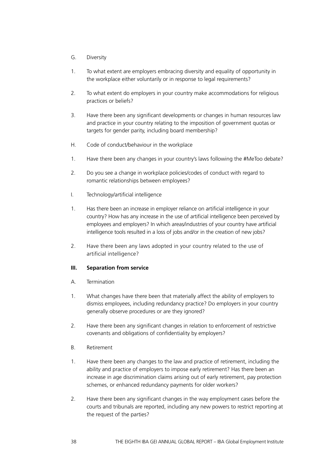- G. Diversity
- 1. To what extent are employers embracing diversity and equality of opportunity in the workplace either voluntarily or in response to legal requirements?
- 2. To what extent do employers in your country make accommodations for religious practices or beliefs?
- 3. Have there been any significant developments or changes in human resources law and practice in your country relating to the imposition of government quotas or targets for gender parity, including board membership?
- H. Code of conduct/behaviour in the workplace
- 1. Have there been any changes in your country's laws following the #MeToo debate?
- 2. Do you see a change in workplace policies/codes of conduct with regard to romantic relationships between employees?
- I. Technology/artificial intelligence
- 1. Has there been an increase in employer reliance on artificial intelligence in your country? How has any increase in the use of artificial intelligence been perceived by employees and employers? In which areas/industries of your country have artificial intelligence tools resulted in a loss of jobs and/or in the creation of new jobs?
- 2. Have there been any laws adopted in your country related to the use of artificial intelligence?

#### **III. Separation from service**

- A. Termination
- 1. What changes have there been that materially affect the ability of employers to dismiss employees, including redundancy practice? Do employers in your country generally observe procedures or are they ignored?
- 2. Have there been any significant changes in relation to enforcement of restrictive covenants and obligations of confidentiality by employers?
- B. Retirement
- 1. Have there been any changes to the law and practice of retirement, including the ability and practice of employers to impose early retirement? Has there been an increase in age discrimination claims arising out of early retirement, pay protection schemes, or enhanced redundancy payments for older workers?
- 2. Have there been any significant changes in the way employment cases before the courts and tribunals are reported, including any new powers to restrict reporting at the request of the parties?